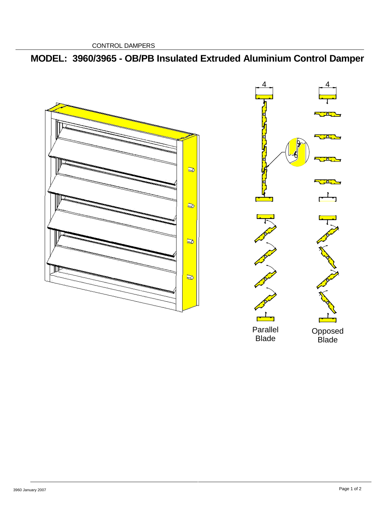CONTROL DAMPERS

# **MODEL: 3960/3965 - OB/PB Insulated Extruded Aluminium Control Damper**